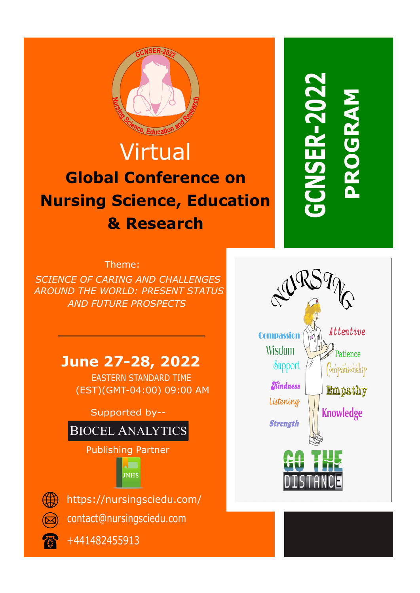

## Virtual **Global Conference on Nursing Science, Education & Research**

# **CONFERENCE GCNSER-2022** PROGRAM **SER-2022 PROGRAM ROGRA**

Theme:

*SCIENCE OF CARING AND CHALLENGES AROUND THE WORLD: PRESENT STATUS AND FUTURE PROSPECTS*

### **June 27-28, 2022**

EASTERN STANDARD TIME (EST)(GMT-04:00) 09:00 AM

Supported by--



+441482455913

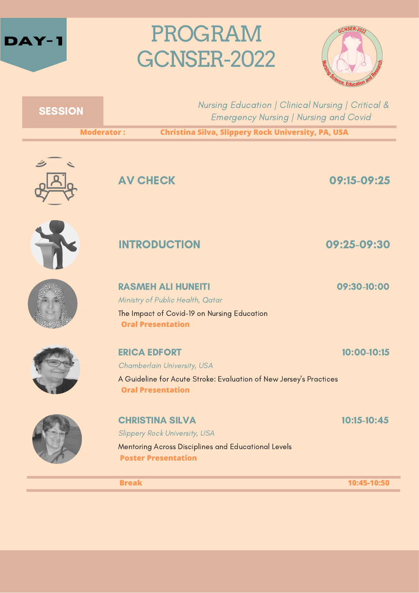



|  | Nursing Education   Clinical Nursing   Critical &<br><b>Emergency Nursing   Nursing and Covid</b> |
|--|---------------------------------------------------------------------------------------------------|
|  |                                                                                                   |

**Moderator : Christina Silva, Slippery Rock University, PA, USA**



**SESSION** 

AV CHECK 09:15-09:25





### INTRODUCTION 09:25-09:30

RASMEH ALI HUNEITI 09:30-10:00

Ministry of Public Health, Qatar The Impact of Covid-19 on Nursing Education **Oral Presentation**



**ERICA EDFORT 10:00-10:15** 

Chamberlain University, USA

A Guideline for Acute Stroke: Evaluation of New Jersey's Practices **Oral Presentation**



CHRISTINA SILVA 10:15-10:45

Slippery Rock University, USA

Mentoring Across Disciplines and Educational Levels **Poster Presentation**

**Break 10:45-10:50**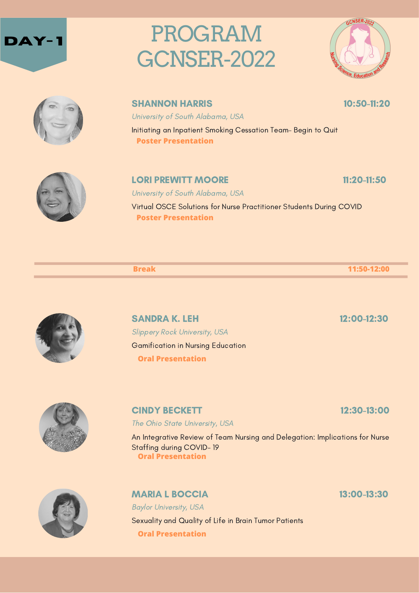





**SHANNON HARRIS 10:50-11:20** 

University of South Alabama, USA

Initiating an Inpatient Smoking Cessation Team– Begin to Quit **Poster Presentation**



### **LORI PREWITT MOORE** 11:20-11:50

University of South Alabama, USA Virtual OSCE Solutions for Nurse Practitioner Students During COVID **Poster Presentation**

**Break 11:50-12:00**

SANDRA K. LEH 12:00-12:30 Slippery Rock University, USA Gamification in Nursing Education **Oral Presentation**

CINDY BECKETT 12:30-13:00

The Ohio State University, USA

An Integrative Review of Team Nursing and Delegation: Implications for Nurse Staffing during COVID- 19 **Oral Presentation**



MARIA L BOCCIA 13:00-13:30

Baylor University, USA Sexuality and Quality of Life in Brain Tumor Patients **Oral Presentation**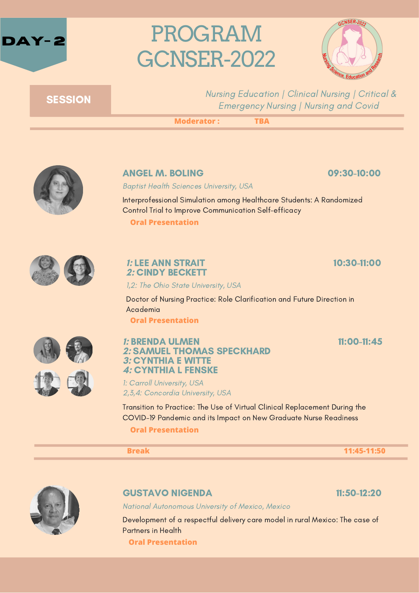



### **SESSION**

Nursing Education | Clinical Nursing | Critical & Emergency Nursing | Nursing and Covid

**Moderator : TBA**



#### ANGEL M. BOLING 09:30-10:00

Baptist Health Sciences University, USA

Interprofessional Simulation among Healthcare Students: A Randomized Control Trial to Improve Communication Self-efficacy

**Oral Presentation**



#### **1:** LEE ANN STRAIT 10:30-11:00 **2:** CINDY BECKETT

1,2: The Ohio State University, USA

Doctor of Nursing Practice: Role Clarification and Future Direction in Academia

**Oral Presentation**



#### **1:** BRENDA ULMEN 11:00-11:45 **2:** SAMUEL THOMAS SPECKHARD **3:** CYNTHIA E WITTE **4:** CYNTHIA L FENSKE

1: Carroll University, USA 2,3,4: Concordia University, USA

Transition to Practice: The Use of Virtual Clinical Replacement During the COVID-19 Pandemic and its Impact on New Graduate Nurse Readiness **Oral Presentation**

**Break 11:45-11:50**



#### GUSTAVO NIGENDA 11:50-12:20

National Autonomous University of Mexico, Mexico

Development of a respectful delivery care model in rural Mexico: The case of Partners in Health

**Oral Presentation**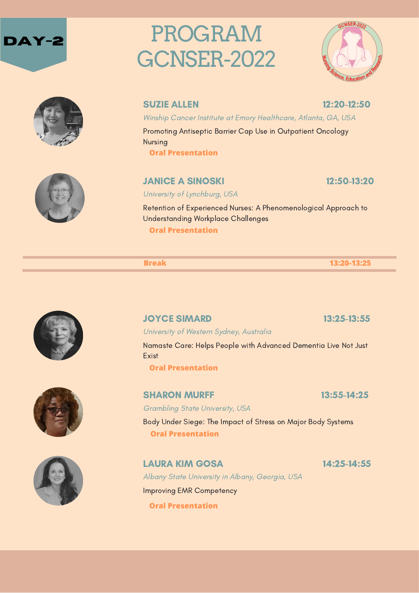







#### SUZIE ALLEN 12:20-12:50

Winship Cancer Institute at Emory Healthcare, Atlanta, GA, USA

Promoting Antiseptic Barrier Cap Use in Outpatient Oncology Nursing

**Oral Presentation**

#### **JANICE A SINOSKI 12:50-13:20**

University of Lynchburg, USA

Retention of Experienced Nurses: A Phenomenological Approach to Understanding Workplace Challenges **Oral Presentation**

**Break 13:20-13:25**



**JOYCE SIMARD 13:25-13:55** 

University of Western Sydney, Australia

Namaste Care: Helps People with Advanced Dementia Live Not Just Exist

Body Under Siege: The Impact of Stress on Major Body Systems

**Oral Presentation**

**Oral Presentation**

Grambling State University, USA





LAURA KIM GOSA 14:25-14:55 Albany State University in Albany, Georgia, USA Improving EMR Competency **Oral Presentation**